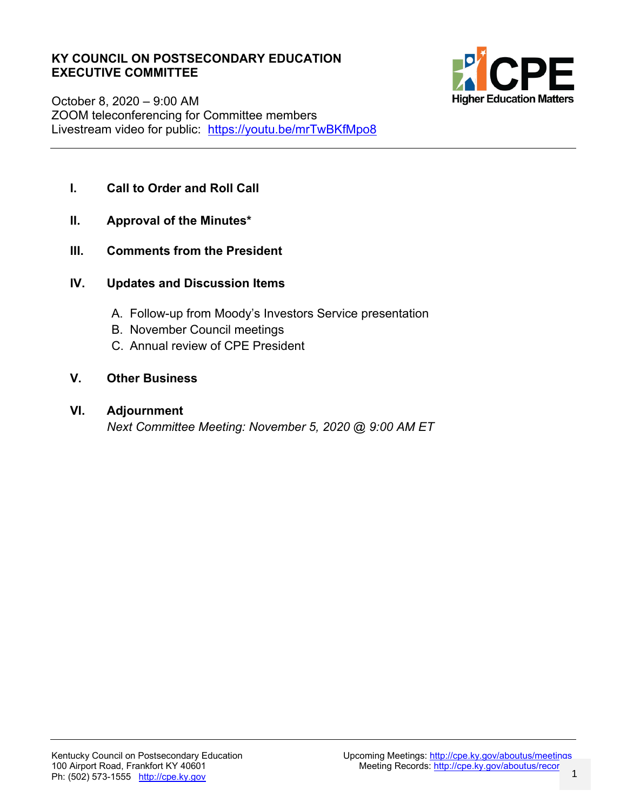# **KY COUNCIL ON POSTSECONDARY EDUCATION EXECUTIVE COMMITTEE**



October 8, 2020 – 9:00 AM ZOOM teleconferencing for Committee members Livestream video for public: <https://youtu.be/mrTwBKfMpo8>

- **I. Call to Order and Roll Call**
- **II. Approval of the Minutes\***
- **III. Comments from the President**

# **IV. Updates and Discussion Items**

- A. Follow-up from Moody's Investors Service presentation
- B. November Council meetings
- C. Annual review of CPE President

# **V. Other Business**

## **VI. Adjournment**

*Next Committee Meeting: November 5, 2020 @ 9:00 AM ET*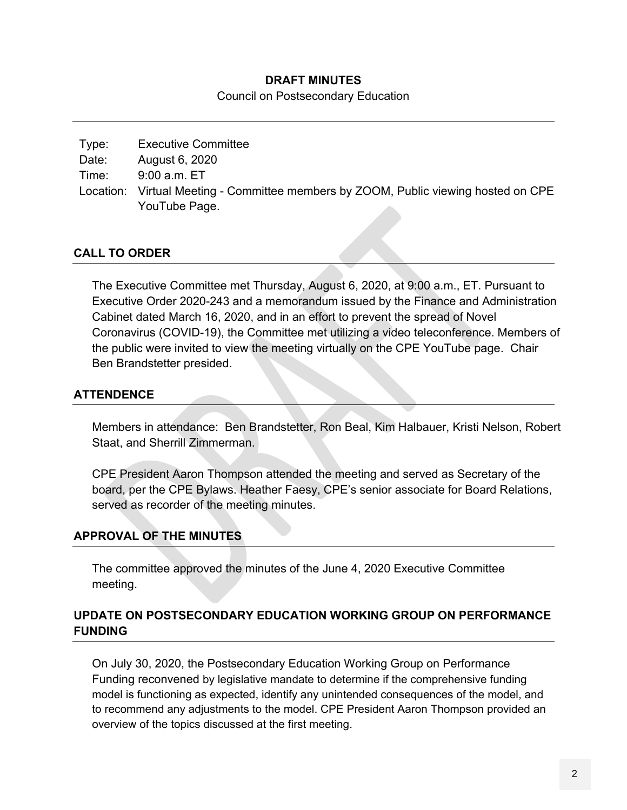# **DRAFT MINUTES**

Council on Postsecondary Education

| Type: | <b>Executive Committee</b>                                                          |
|-------|-------------------------------------------------------------------------------------|
| Date: | August 6, 2020                                                                      |
| Time: | 9:00 a.m. ET                                                                        |
|       | Location: Virtual Meeting - Committee members by ZOOM, Public viewing hosted on CPE |
|       | YouTube Page.                                                                       |

# **CALL TO ORDER**

The Executive Committee met Thursday, August 6, 2020, at 9:00 a.m., ET. Pursuant to Executive Order 2020-243 and a memorandum issued by the Finance and Administration Cabinet dated March 16, 2020, and in an effort to prevent the spread of Novel Coronavirus (COVID-19), the Committee met utilizing a video teleconference. Members of the public were invited to view the meeting virtually on the CPE YouTube page. Chair Ben Brandstetter presided.

# **ATTENDENCE**

Members in attendance: Ben Brandstetter, Ron Beal, Kim Halbauer, Kristi Nelson, Robert Staat, and Sherrill Zimmerman.

CPE President Aaron Thompson attended the meeting and served as Secretary of the board, per the CPE Bylaws. Heather Faesy, CPE's senior associate for Board Relations, served as recorder of the meeting minutes.

# **APPROVAL OF THE MINUTES**

The committee approved the minutes of the June 4, 2020 Executive Committee meeting.

# **UPDATE ON POSTSECONDARY EDUCATION WORKING GROUP ON PERFORMANCE FUNDING**

On July 30, 2020, the Postsecondary Education Working Group on Performance Funding reconvened by legislative mandate to determine if the comprehensive funding model is functioning as expected, identify any unintended consequences of the model, and to recommend any adjustments to the model. CPE President Aaron Thompson provided an overview of the topics discussed at the first meeting.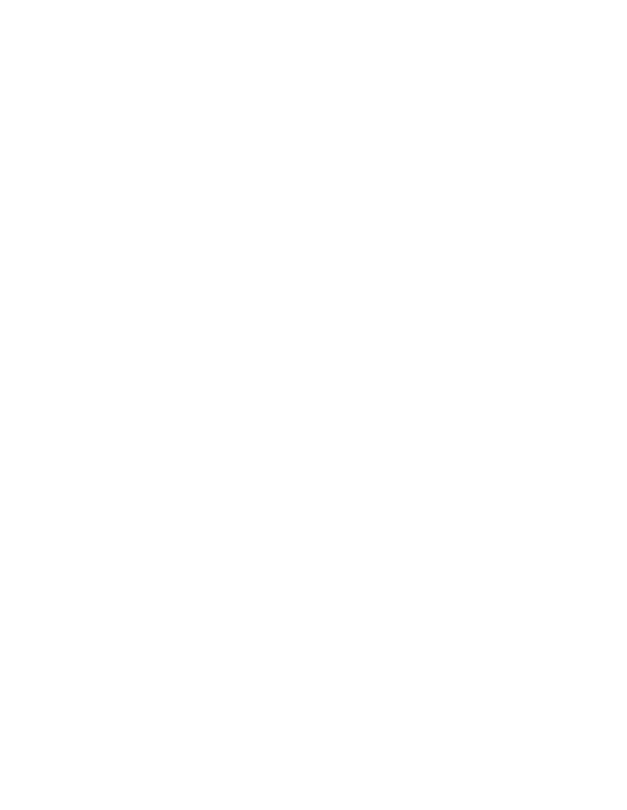## **CAMPUS RE-OPENING PLANS**

President Thompson provided an update on the public institution's re-opening plans. All institutions, with the exception of Western Kentucky University, planned reopening with in person classes on August 17. Western Kentucky University's reopening date for in person classes was set for August 24. All campuses have extensive safety protocols in place and contingency plans should an outbreak occur. Council members inquired additional information regarding how online learning has advanced over the summer as well as online learning fees assessed by the campuses.

### **ACADEMIC PROGRAM REVIEW PROJECT**

Melissa Bell, CPE's Vice President of Academic Affairs, provided a brief status update on the academic program review project. She discussed the data analysis portion as well as workshops being provided to the institutions for implementation. Work is expected to be complete by December 2020. A full overview will be provided at the August 18, 2020 Academic and Strategic Initiatives Committee meeting.

# **SEPTEMBER 2020 CPE RETREAT AND BUSINESS MEETING**

The Executive Committee discussed the current pandemic situation and travel restrictions still in place. Due to the still evolving situation, the Committee cancelled the in-person retreat and scheduled a two-hour work session instead.

#### **ADJOURNMENT**

The Executive Committee adjourned at 9:45 a.m., ET.

*MINUTES REVIEWED AND APPROVED BY THE COMMITTEE: \_\_\_\_\_\_\_\_\_\_\_\_*